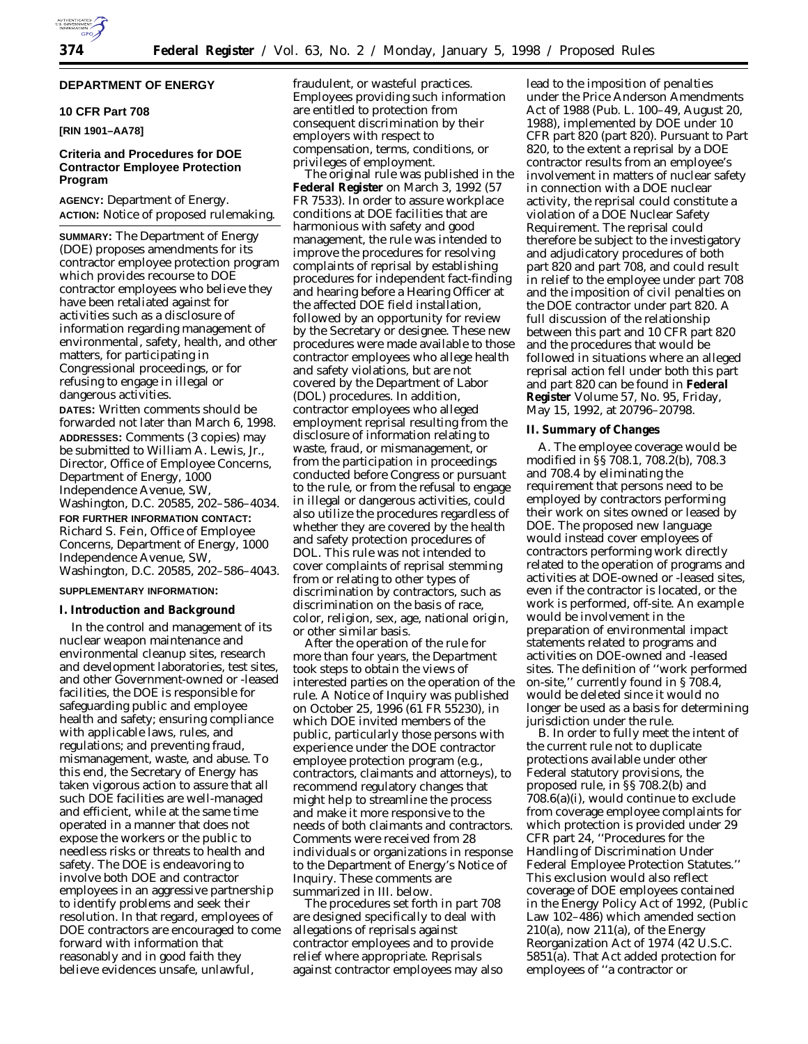# **DEPARTMENT OF ENERGY**

## **10 CFR Part 708**

# **[RIN 1901–AA78]**

# **Criteria and Procedures for DOE Contractor Employee Protection Program**

**AGENCY:** Department of Energy. **ACTION:** Notice of proposed rulemaking.

**SUMMARY:** The Department of Energy (DOE) proposes amendments for its contractor employee protection program which provides recourse to DOE contractor employees who believe they have been retaliated against for activities such as a disclosure of information regarding management of environmental, safety, health, and other matters, for participating in Congressional proceedings, or for refusing to engage in illegal or dangerous activities.

**DATES:** Written comments should be forwarded not later than March 6, 1998. **ADDRESSES:** Comments (3 copies) may be submitted to William A. Lewis, Jr., Director, Office of Employee Concerns, Department of Energy, 1000 Independence Avenue, SW, Washington, D.C. 20585, 202–586–4034.

**FOR FURTHER INFORMATION CONTACT:** Richard S. Fein, Office of Employee Concerns, Department of Energy, 1000 Independence Avenue, SW, Washington, D.C. 20585, 202–586–4043.

### **SUPPLEMENTARY INFORMATION:**

## **I. Introduction and Background**

In the control and management of its nuclear weapon maintenance and environmental cleanup sites, research and development laboratories, test sites, and other Government-owned or -leased facilities, the DOE is responsible for safeguarding public and employee health and safety; ensuring compliance with applicable laws, rules, and regulations; and preventing fraud, mismanagement, waste, and abuse. To this end, the Secretary of Energy has taken vigorous action to assure that all such DOE facilities are well-managed and efficient, while at the same time operated in a manner that does not expose the workers or the public to needless risks or threats to health and safety. The DOE is endeavoring to involve both DOE and contractor employees in an aggressive partnership to identify problems and seek their resolution. In that regard, employees of DOE contractors are encouraged to come forward with information that reasonably and in good faith they believe evidences unsafe, unlawful,

fraudulent, or wasteful practices. Employees providing such information are entitled to protection from consequent discrimination by their employers with respect to compensation, terms, conditions, or privileges of employment.

The original rule was published in the **Federal Register** on March 3, 1992 (57 FR 7533). In order to assure workplace conditions at DOE facilities that are harmonious with safety and good management, the rule was intended to improve the procedures for resolving complaints of reprisal by establishing procedures for independent fact-finding and hearing before a Hearing Officer at the affected DOE field installation, followed by an opportunity for review by the Secretary or designee. These new procedures were made available to those contractor employees who allege health and safety violations, but are not covered by the Department of Labor (DOL) procedures. In addition, contractor employees who alleged employment reprisal resulting from the disclosure of information relating to waste, fraud, or mismanagement, or from the participation in proceedings conducted before Congress or pursuant to the rule, or from the refusal to engage in illegal or dangerous activities, could also utilize the procedures regardless of whether they are covered by the health and safety protection procedures of DOL. This rule was not intended to cover complaints of reprisal stemming from or relating to other types of discrimination by contractors, such as discrimination on the basis of race, color, religion, sex, age, national origin, or other similar basis.

After the operation of the rule for more than four years, the Department took steps to obtain the views of interested parties on the operation of the rule. A Notice of Inquiry was published on October 25, 1996 (61 FR 55230), in which DOE invited members of the public, particularly those persons with experience under the DOE contractor employee protection program (e.g., contractors, claimants and attorneys), to recommend regulatory changes that might help to streamline the process and make it more responsive to the needs of both claimants and contractors. Comments were received from 28 individuals or organizations in response to the Department of Energy's Notice of Inquiry. These comments are summarized in III. below.

The procedures set forth in part 708 are designed specifically to deal with allegations of reprisals against contractor employees and to provide relief where appropriate. Reprisals against contractor employees may also

lead to the imposition of penalties under the Price Anderson Amendments Act of 1988 (Pub. L. 100–49, August 20, 1988), implemented by DOE under 10 CFR part 820 (part 820). Pursuant to Part 820, to the extent a reprisal by a DOE contractor results from an employee's involvement in matters of nuclear safety in connection with a DOE nuclear activity, the reprisal could constitute a violation of a DOE Nuclear Safety Requirement. The reprisal could therefore be subject to the investigatory and adjudicatory procedures of both part 820 and part 708, and could result in relief to the employee under part 708 and the imposition of civil penalties on the DOE contractor under part 820. A full discussion of the relationship between this part and 10 CFR part 820 and the procedures that would be followed in situations where an alleged reprisal action fell under both this part and part 820 can be found in **Federal Register** Volume 57, No. 95, Friday, May 15, 1992, at 20796–20798.

#### **II. Summary of Changes**

A. The employee coverage would be modified in §§ 708.1, 708.2(b), 708.3 and 708.4 by eliminating the requirement that persons need to be employed by contractors performing their work on sites owned or leased by DOE. The proposed new language would instead cover employees of contractors performing work directly related to the operation of programs and activities at DOE-owned or -leased sites, even if the contractor is located, or the work is performed, off-site. An example would be involvement in the preparation of environmental impact statements related to programs and activities on DOE-owned and -leased sites. The definition of ''work performed on-site,'' currently found in § 708.4, would be deleted since it would no longer be used as a basis for determining jurisdiction under the rule.

B. In order to fully meet the intent of the current rule not to duplicate protections available under other Federal statutory provisions, the proposed rule, in §§ 708.2(b) and 708.6(a)(i), would continue to exclude from coverage employee complaints for which protection is provided under 29 CFR part 24, ''Procedures for the Handling of Discrimination Under Federal Employee Protection Statutes.'' This exclusion would also reflect coverage of DOE employees contained in the Energy Policy Act of 1992, (Public Law 102–486) which amended section  $210(a)$ , now  $211(a)$ , of the Energy Reorganization Act of 1974 (42 U.S.C. 5851(a). That Act added protection for employees of ''a contractor or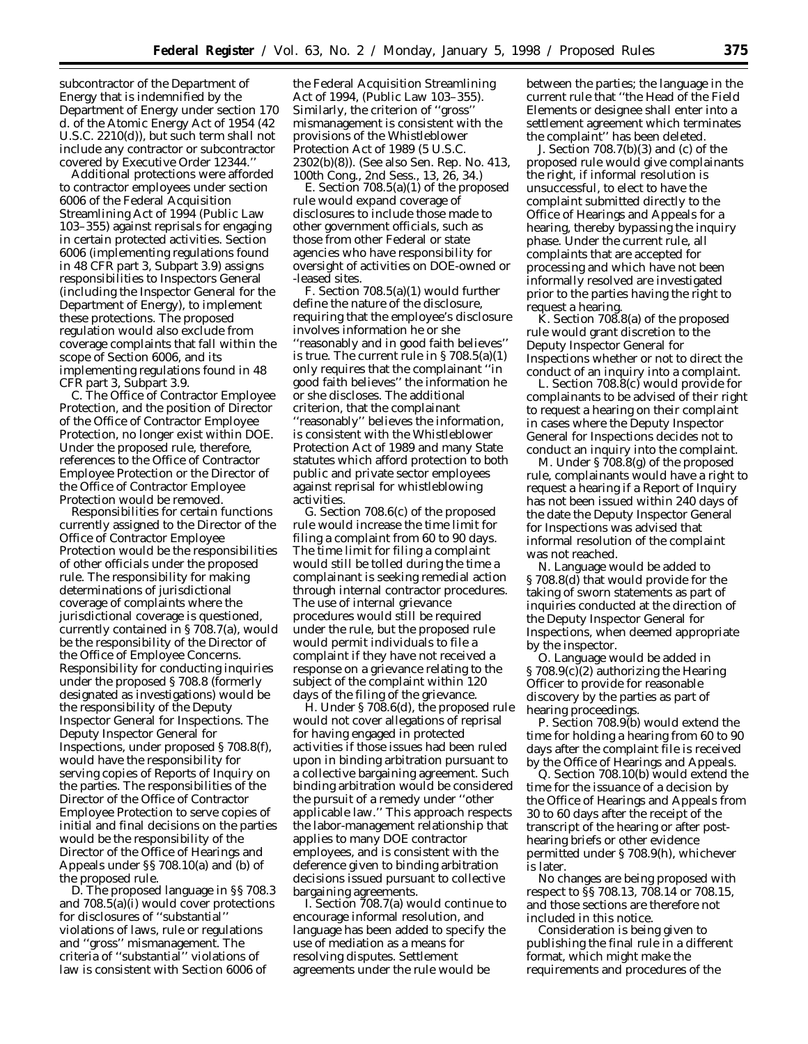subcontractor of the Department of Energy that is indemnified by the Department of Energy under section 170 d. of the Atomic Energy Act of 1954 (42 U.S.C. 2210(d)), but such term shall not include any contractor or subcontractor covered by Executive Order 12344.''

Additional protections were afforded to contractor employees under section 6006 of the Federal Acquisition Streamlining Act of 1994 (Public Law 103–355) against reprisals for engaging in certain protected activities. Section 6006 (implementing regulations found in 48 CFR part 3, Subpart 3.9) assigns responsibilities to Inspectors General (including the Inspector General for the Department of Energy), to implement these protections. The proposed regulation would also exclude from coverage complaints that fall within the scope of Section 6006, and its implementing regulations found in 48 CFR part 3, Subpart 3.9.

C. The Office of Contractor Employee Protection, and the position of Director of the Office of Contractor Employee Protection, no longer exist within DOE. Under the proposed rule, therefore, references to the Office of Contractor Employee Protection or the Director of the Office of Contractor Employee Protection would be removed.

Responsibilities for certain functions currently assigned to the Director of the Office of Contractor Employee Protection would be the responsibilities of other officials under the proposed rule. The responsibility for making determinations of jurisdictional coverage of complaints where the jurisdictional coverage is questioned, currently contained in § 708.7(a), would be the responsibility of the Director of the Office of Employee Concerns. Responsibility for conducting inquiries under the proposed § 708.8 (formerly designated as investigations) would be the responsibility of the Deputy Inspector General for Inspections. The Deputy Inspector General for Inspections, under proposed § 708.8(f), would have the responsibility for serving copies of Reports of Inquiry on the parties. The responsibilities of the Director of the Office of Contractor Employee Protection to serve copies of initial and final decisions on the parties would be the responsibility of the Director of the Office of Hearings and Appeals under §§ 708.10(a) and (b) of the proposed rule.

D. The proposed language in §§ 708.3 and  $708.5(a)(i)$  would cover protections for disclosures of ''substantial'' violations of laws, rule or regulations and ''gross'' mismanagement. The criteria of ''substantial'' violations of law is consistent with Section 6006 of

the Federal Acquisition Streamlining Act of 1994, (Public Law 103–355). Similarly, the criterion of ''gross'' mismanagement is consistent with the provisions of the Whistleblower Protection Act of 1989 (5 U.S.C. 2302(b)(8)). (See also Sen. Rep. No. 413, 100th Cong., 2nd Sess., 13, 26, 34.)

E. Section 708.5(a)(1) of the proposed rule would expand coverage of disclosures to include those made to other government officials, such as those from other Federal or state agencies who have responsibility for oversight of activities on DOE-owned or -leased sites.

F. Section 708.5(a)(1) would further define the nature of the disclosure, requiring that the employee's disclosure involves information he or she ''reasonably and in good faith believes'' is true. The current rule in § 708.5(a)(1) only requires that the complainant ''in good faith believes'' the information he or she discloses. The additional criterion, that the complainant ''reasonably'' believes the information, is consistent with the Whistleblower Protection Act of 1989 and many State statutes which afford protection to both public and private sector employees against reprisal for whistleblowing activities.

G. Section 708.6(c) of the proposed rule would increase the time limit for filing a complaint from 60 to 90 days. The time limit for filing a complaint would still be tolled during the time a complainant is seeking remedial action through internal contractor procedures. The use of internal grievance procedures would still be required under the rule, but the proposed rule would permit individuals to file a complaint if they have not received a response on a grievance relating to the subject of the complaint within 120 days of the filing of the grievance.

H. Under § 708.6(d), the proposed rule would not cover allegations of reprisal for having engaged in protected activities if those issues had been ruled upon in binding arbitration pursuant to a collective bargaining agreement. Such binding arbitration would be considered the pursuit of a remedy under ''other applicable law.'' This approach respects the labor-management relationship that applies to many DOE contractor employees, and is consistent with the deference given to binding arbitration decisions issued pursuant to collective bargaining agreements.

I. Section 708.7(a) would continue to encourage informal resolution, and language has been added to specify the use of mediation as a means for resolving disputes. Settlement agreements under the rule would be

between the parties; the language in the current rule that ''the Head of the Field Elements or designee shall enter into a settlement agreement which terminates the complaint'' has been deleted.

J. Section 708.7(b)(3) and (c) of the proposed rule would give complainants the right, if informal resolution is unsuccessful, to elect to have the complaint submitted directly to the Office of Hearings and Appeals for a hearing, thereby bypassing the inquiry phase. Under the current rule, all complaints that are accepted for processing and which have not been informally resolved are investigated prior to the parties having the right to request a hearing.

 $\hat{K}$ . Section 708.8(a) of the proposed rule would grant discretion to the Deputy Inspector General for Inspections whether or not to direct the conduct of an inquiry into a complaint.

L. Section 708.8(c) would provide for complainants to be advised of their right to request a hearing on their complaint in cases where the Deputy Inspector General for Inspections decides not to conduct an inquiry into the complaint.

M. Under § 708.8(g) of the proposed rule, complainants would have a right to request a hearing if a Report of Inquiry has not been issued within 240 days of the date the Deputy Inspector General for Inspections was advised that informal resolution of the complaint was not reached.

N. Language would be added to § 708.8(d) that would provide for the taking of sworn statements as part of inquiries conducted at the direction of the Deputy Inspector General for Inspections, when deemed appropriate by the inspector.

O. Language would be added in § 708.9(c)(2) authorizing the Hearing Officer to provide for reasonable discovery by the parties as part of hearing proceedings.

P. Section 708.9(b) would extend the time for holding a hearing from 60 to 90 days after the complaint file is received by the Office of Hearings and Appeals.

Q. Section 708.10(b) would extend the time for the issuance of a decision by the Office of Hearings and Appeals from 30 to 60 days after the receipt of the transcript of the hearing or after posthearing briefs or other evidence permitted under § 708.9(h), whichever is later.

No changes are being proposed with respect to §§ 708.13, 708.14 or 708.15, and those sections are therefore not included in this notice.

Consideration is being given to publishing the final rule in a different format, which might make the requirements and procedures of the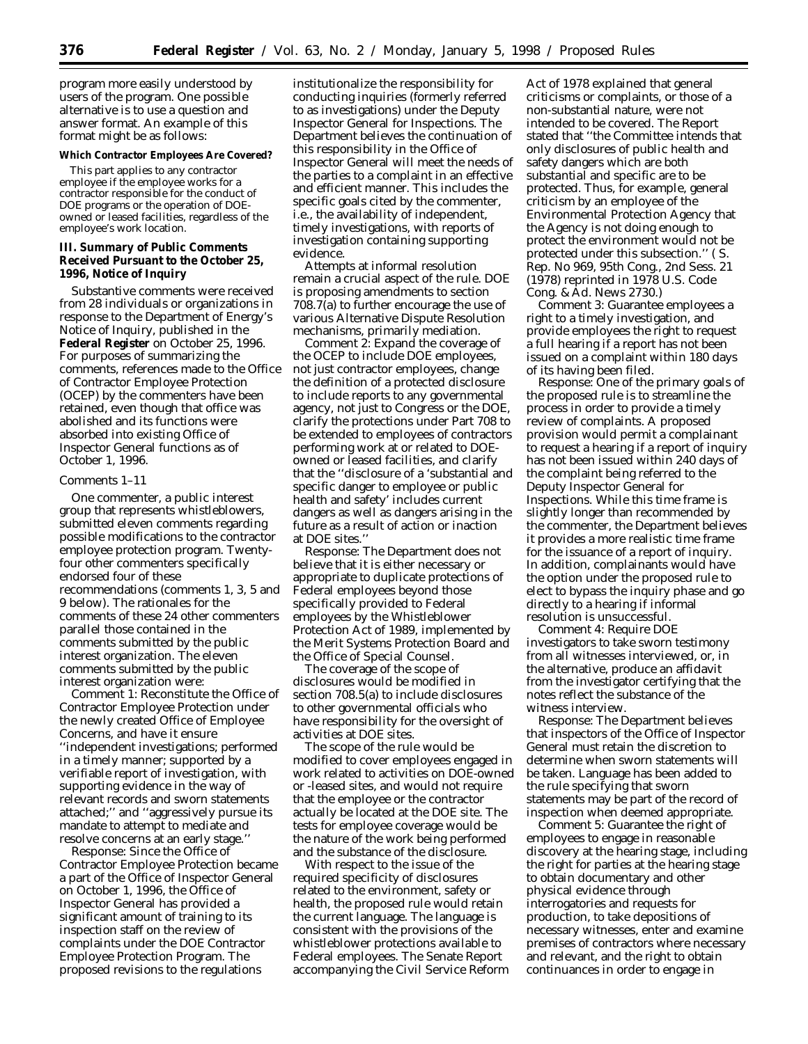program more easily understood by users of the program. One possible alternative is to use a question and answer format. An example of this format might be as follows:

### **Which Contractor Employees Are Covered?**

This part applies to any contractor employee if the employee works for a contractor responsible for the conduct of DOE programs or the operation of DOEowned or leased facilities, regardless of the employee's work location.

## **III. Summary of Public Comments Received Pursuant to the October 25, 1996, Notice of Inquiry**

Substantive comments were received from 28 individuals or organizations in response to the Department of Energy's Notice of Inquiry, published in the **Federal Register** on October 25, 1996. For purposes of summarizing the comments, references made to the Office of Contractor Employee Protection (OCEP) by the commenters have been retained, even though that office was abolished and its functions were absorbed into existing Office of Inspector General functions as of October 1, 1996.

## *Comments 1–11*

One commenter, a public interest group that represents whistleblowers, submitted eleven comments regarding possible modifications to the contractor employee protection program. Twentyfour other commenters specifically endorsed four of these recommendations (comments 1, 3, 5 and 9 below). The rationales for the comments of these 24 other commenters parallel those contained in the comments submitted by the public interest organization. The eleven comments submitted by the public interest organization were:

*Comment 1:* Reconstitute the Office of Contractor Employee Protection under the newly created Office of Employee Concerns, and have it ensure ''independent investigations; performed in a timely manner; supported by a verifiable report of investigation, with supporting evidence in the way of relevant records and sworn statements attached;'' and ''aggressively pursue its mandate to attempt to mediate and resolve concerns at an early stage.''

*Response:* Since the Office of Contractor Employee Protection became a part of the Office of Inspector General on October 1, 1996, the Office of Inspector General has provided a significant amount of training to its inspection staff on the review of complaints under the DOE Contractor Employee Protection Program. The proposed revisions to the regulations

institutionalize the responsibility for conducting inquiries (formerly referred to as investigations) under the Deputy Inspector General for Inspections. The Department believes the continuation of this responsibility in the Office of Inspector General will meet the needs of the parties to a complaint in an effective and efficient manner. This includes the specific goals cited by the commenter, i.e., the availability of independent, timely investigations, with reports of investigation containing supporting evidence.

Attempts at informal resolution remain a crucial aspect of the rule. DOE is proposing amendments to section 708.7(a) to further encourage the use of various Alternative Dispute Resolution mechanisms, primarily mediation.

*Comment 2:* Expand the coverage of the OCEP to include DOE employees, not just contractor employees, change the definition of a protected disclosure to include reports to any governmental agency, not just to Congress or the DOE, clarify the protections under Part 708 to be extended to employees of contractors performing work at or related to DOEowned or leased facilities, and clarify that the ''disclosure of a 'substantial and specific danger to employee or public health and safety' includes current dangers as well as dangers arising in the future as a result of action or inaction at DOE sites.''

*Response:* The Department does not believe that it is either necessary or appropriate to duplicate protections of Federal employees beyond those specifically provided to Federal employees by the Whistleblower Protection Act of 1989, implemented by the Merit Systems Protection Board and the Office of Special Counsel.

The coverage of the scope of disclosures would be modified in section 708.5(a) to include disclosures to other governmental officials who have responsibility for the oversight of activities at DOE sites.

The scope of the rule would be modified to cover employees engaged in work related to activities on DOE-owned or -leased sites, and would not require that the employee or the contractor actually be located at the DOE site. The tests for employee coverage would be the nature of the work being performed and the substance of the disclosure.

With respect to the issue of the required specificity of disclosures related to the environment, safety or health, the proposed rule would retain the current language. The language is consistent with the provisions of the whistleblower protections available to Federal employees. The Senate Report accompanying the Civil Service Reform

Act of 1978 explained that general criticisms or complaints, or those of a non-substantial nature, were not intended to be covered. The Report stated that ''the Committee intends that only disclosures of public health and safety dangers which are both *substantial* and *specific* are to be protected. Thus, for example, general criticism by an employee of the Environmental Protection Agency that the Agency is not doing enough to protect the environment would not be protected under this subsection.'' ( S. Rep. No 969, 95th Cong., 2nd Sess. 21 (1978) *reprinted* in 1978 U.S. Code Cong. & Ad. News 2730.)

*Comment 3:* Guarantee employees a right to a timely investigation, and provide employees the right to request a full hearing if a report has not been issued on a complaint within 180 days of its having been filed.

*Response:* One of the primary goals of the proposed rule is to streamline the process in order to provide a timely review of complaints. A proposed provision would permit a complainant to request a hearing if a report of inquiry has not been issued within 240 days of the complaint being referred to the Deputy Inspector General for Inspections. While this time frame is slightly longer than recommended by the commenter, the Department believes it provides a more realistic time frame for the issuance of a report of inquiry. In addition, complainants would have the option under the proposed rule to elect to bypass the inquiry phase and go directly to a hearing if informal resolution is unsuccessful.

*Comment 4:* Require DOE investigators to take sworn testimony from all witnesses interviewed, or, in the alternative, produce an affidavit from the investigator certifying that the notes reflect the substance of the witness interview.

*Response:* The Department believes that inspectors of the Office of Inspector General must retain the discretion to determine when sworn statements will be taken. Language has been added to the rule specifying that sworn statements may be part of the record of inspection when deemed appropriate.

*Comment 5:* Guarantee the right of employees to engage in reasonable discovery at the hearing stage, including the right for parties at the hearing stage to obtain documentary and other physical evidence through interrogatories and requests for production, to take depositions of necessary witnesses, enter and examine premises of contractors where necessary and relevant, and the right to obtain continuances in order to engage in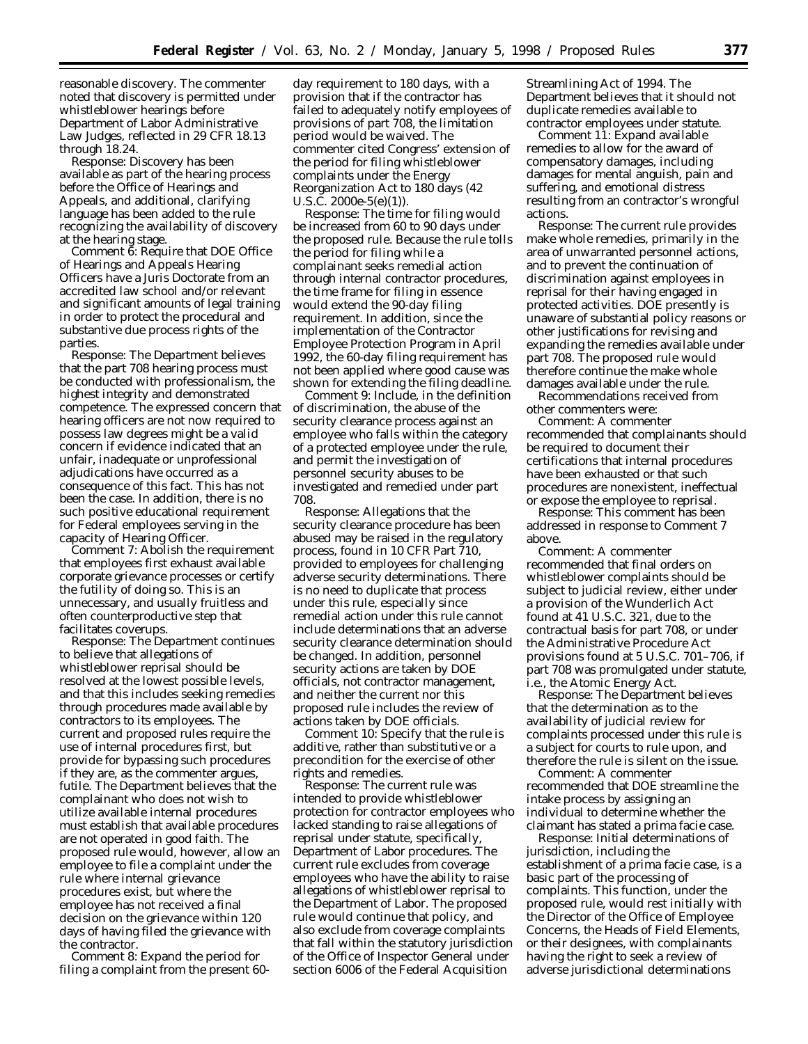reasonable discovery. The commenter noted that discovery is permitted under whistleblower hearings before Department of Labor Administrative Law Judges, reflected in 29 CFR 18.13 through 18.24.

*Response:* Discovery has been available as part of the hearing process before the Office of Hearings and Appeals, and additional, clarifying language has been added to the rule recognizing the availability of discovery at the hearing stage.

*Comment 6:* Require that DOE Office of Hearings and Appeals Hearing Officers have a Juris Doctorate from an accredited law school and/or relevant and significant amounts of legal training in order to protect the procedural and substantive due process rights of the parties.

*Response:* The Department believes that the part 708 hearing process must be conducted with professionalism, the highest integrity and demonstrated competence. The expressed concern that hearing officers are not now required to possess law degrees might be a valid concern if evidence indicated that an unfair, inadequate or unprofessional adjudications have occurred as a consequence of this fact. This has not been the case. In addition, there is no such positive educational requirement for Federal employees serving in the capacity of Hearing Officer.

*Comment 7:* Abolish the requirement that employees first exhaust available corporate grievance processes or certify the futility of doing so. This is an unnecessary, and usually fruitless and often counterproductive step that facilitates coverups.

*Response:* The Department continues to believe that allegations of whistleblower reprisal should be resolved at the lowest possible levels, and that this includes seeking remedies through procedures made available by contractors to its employees. The current and proposed rules require the use of internal procedures first, but provide for bypassing such procedures if they are, as the commenter argues, futile. The Department believes that the complainant who does not wish to utilize available internal procedures must establish that available procedures are not operated in good faith. The proposed rule would, however, allow an employee to file a complaint under the rule where internal grievance procedures exist, but where the employee has not received a final decision on the grievance within 120 days of having filed the grievance with the contractor.

*Comment 8:* Expand the period for filing a complaint from the present 60day requirement to 180 days, with a provision that if the contractor has failed to adequately notify employees of provisions of part 708, the limitation period would be waived. The commenter cited Congress' extension of the period for filing whistleblower complaints under the Energy Reorganization Act to 180 days (42 U.S.C. 2000e-5(e)(1)).

*Response:* The time for filing would be increased from 60 to 90 days under the proposed rule. Because the rule tolls the period for filing while a complainant seeks remedial action through internal contractor procedures, the time frame for filing in essence would extend the 90-day filing requirement. In addition, since the implementation of the Contractor Employee Protection Program in April 1992, the 60-day filing requirement has not been applied where good cause was shown for extending the filing deadline.

*Comment 9:* Include, in the definition of discrimination, the abuse of the security clearance process against an employee who falls within the category of a protected employee under the rule, and permit the investigation of personnel security abuses to be investigated and remedied under part 708.

*Response:* Allegations that the security clearance procedure has been abused may be raised in the regulatory process, found in 10 CFR Part 710, provided to employees for challenging adverse security determinations. There is no need to duplicate that process under this rule, especially since remedial action under this rule cannot include determinations that an adverse security clearance determination should be changed. In addition, personnel security actions are taken by DOE officials, not contractor management, and neither the current nor this proposed rule includes the review of actions taken by DOE officials.

*Comment 10:* Specify that the rule is additive, rather than substitutive or a precondition for the exercise of other rights and remedies.

*Response:* The current rule was intended to provide whistleblower protection for contractor employees who lacked standing to raise allegations of reprisal under statute, specifically, Department of Labor procedures. The current rule excludes from coverage employees who have the ability to raise allegations of whistleblower reprisal to the Department of Labor. The proposed rule would continue that policy, and also exclude from coverage complaints that fall within the statutory jurisdiction of the Office of Inspector General under section 6006 of the Federal Acquisition

Streamlining Act of 1994. The Department believes that it should not duplicate remedies available to contractor employees under statute.

*Comment 11:* Expand available remedies to allow for the award of compensatory damages, including damages for mental anguish, pain and suffering, and emotional distress resulting from an contractor's wrongful actions.

*Response:* The current rule provides make whole remedies, primarily in the area of unwarranted personnel actions, and to prevent the continuation of discrimination against employees in reprisal for their having engaged in protected activities. DOE presently is unaware of substantial policy reasons or other justifications for revising and expanding the remedies available under part 708. The proposed rule would therefore continue the make whole damages available under the rule.

Recommendations received from other commenters were:

*Comment:* A commenter recommended that complainants should be required to document their certifications that internal procedures have been exhausted or that such procedures are nonexistent, ineffectual or expose the employee to reprisal.

*Response:* This comment has been addressed in response to Comment 7 above.

*Comment:* A commenter recommended that final orders on whistleblower complaints should be subject to judicial review, either under a provision of the Wunderlich Act found at 41 U.S.C. 321, due to the contractual basis for part 708, or under the Administrative Procedure Act provisions found at 5 U.S.C. 701–706, if part 708 was promulgated under statute, i.e., the Atomic Energy Act.

*Response:* The Department believes that the determination as to the availability of judicial review for complaints processed under this rule is a subject for courts to rule upon, and therefore the rule is silent on the issue.

*Comment:* A commenter recommended that DOE streamline the intake process by assigning an individual to determine whether the claimant has stated a prima facie case.

*Response:* Initial determinations of jurisdiction, including the establishment of a prima facie case, is a basic part of the processing of complaints. This function, under the proposed rule, would rest initially with the Director of the Office of Employee Concerns, the Heads of Field Elements, or their designees, with complainants having the right to seek a review of adverse jurisdictional determinations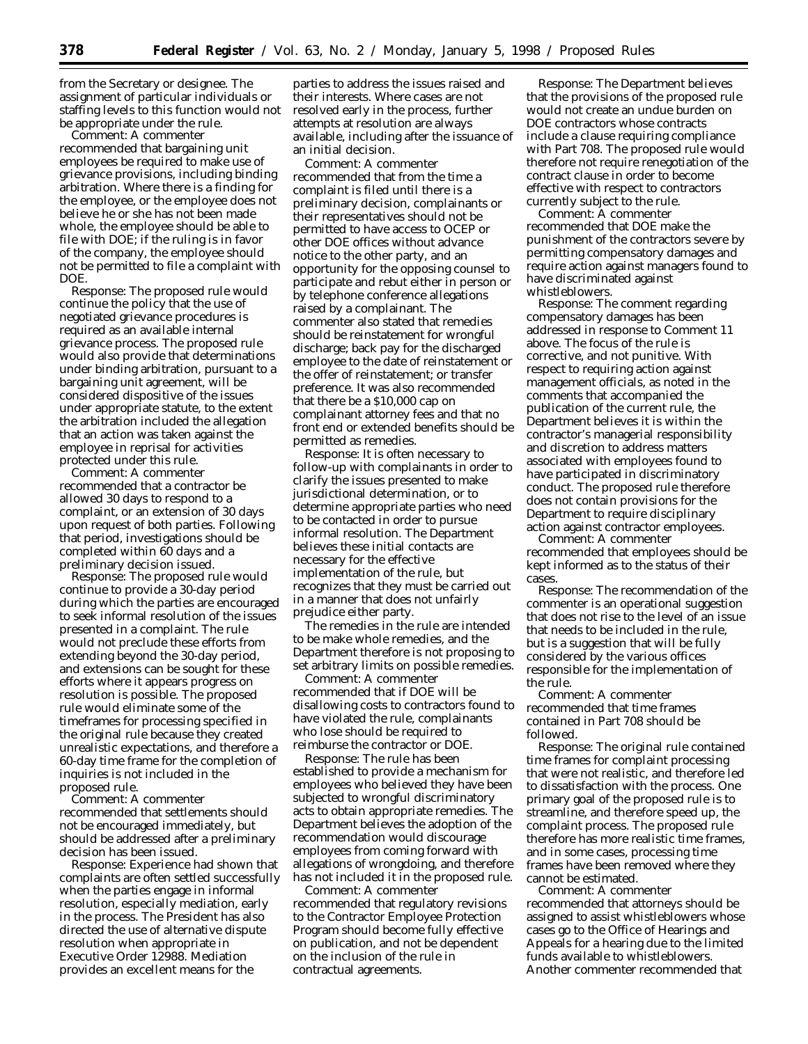from the Secretary or designee. The assignment of particular individuals or staffing levels to this function would not be appropriate under the rule.

*Comment:* A commenter recommended that bargaining unit employees be required to make use of grievance provisions, including binding arbitration. Where there is a finding for the employee, or the employee does not believe he or she has not been made whole, the employee should be able to file with DOE; if the ruling is in favor of the company, the employee should not be permitted to file a complaint with DOE.

*Response:* The proposed rule would continue the policy that the use of negotiated grievance procedures is required as an available internal grievance process. The proposed rule would also provide that determinations under binding arbitration, pursuant to a bargaining unit agreement, will be considered dispositive of the issues under appropriate statute, to the extent the arbitration included the allegation that an action was taken against the employee in reprisal for activities protected under this rule.

*Comment:* A commenter recommended that a contractor be allowed 30 days to respond to a complaint, or an extension of 30 days upon request of both parties. Following that period, investigations should be completed within 60 days and a preliminary decision issued.

*Response:* The proposed rule would continue to provide a 30-day period during which the parties are encouraged to seek informal resolution of the issues presented in a complaint. The rule would not preclude these efforts from extending beyond the 30-day period, and extensions can be sought for these efforts where it appears progress on resolution is possible. The proposed rule would eliminate some of the timeframes for processing specified in the original rule because they created unrealistic expectations, and therefore a 60-day time frame for the completion of inquiries is not included in the proposed rule.

*Comment:* A commenter recommended that settlements should not be encouraged immediately, but should be addressed after a preliminary decision has been issued.

*Response:* Experience had shown that complaints are often settled successfully when the parties engage in informal resolution, especially mediation, early in the process. The President has also directed the use of alternative dispute resolution when appropriate in Executive Order 12988. Mediation provides an excellent means for the

parties to address the issues raised and their interests. Where cases are not resolved early in the process, further attempts at resolution are always available, including after the issuance of an initial decision.

*Comment:* A commenter recommended that from the time a complaint is filed until there is a preliminary decision, complainants or their representatives should not be permitted to have access to OCEP or other DOE offices without advance notice to the other party, and an opportunity for the opposing counsel to participate and rebut either in person or by telephone conference allegations raised by a complainant. The commenter also stated that remedies should be reinstatement for wrongful discharge; back pay for the discharged employee to the date of reinstatement or the offer of reinstatement; or transfer preference. It was also recommended that there be a \$10,000 cap on complainant attorney fees and that no front end or extended benefits should be permitted as remedies.

*Response:* It is often necessary to follow-up with complainants in order to clarify the issues presented to make jurisdictional determination, or to determine appropriate parties who need to be contacted in order to pursue informal resolution. The Department believes these initial contacts are necessary for the effective implementation of the rule, but recognizes that they must be carried out in a manner that does not unfairly prejudice either party.

The remedies in the rule are intended to be make whole remedies, and the Department therefore is not proposing to set arbitrary limits on possible remedies.

*Comment:* A commenter recommended that if DOE will be disallowing costs to contractors found to have violated the rule, complainants who lose should be required to reimburse the contractor or DOE.

*Response:* The rule has been established to provide a mechanism for employees who believed they have been subjected to wrongful discriminatory acts to obtain appropriate remedies. The Department believes the adoption of the recommendation would discourage employees from coming forward with allegations of wrongdoing, and therefore has not included it in the proposed rule.

*Comment:* A commenter recommended that regulatory revisions to the Contractor Employee Protection Program should become fully effective on publication, and not be dependent on the inclusion of the rule in contractual agreements.

*Response:* The Department believes that the provisions of the proposed rule would not create an undue burden on DOE contractors whose contracts include a clause requiring compliance with Part 708. The proposed rule would therefore not require renegotiation of the contract clause in order to become effective with respect to contractors currently subject to the rule.

*Comment:* A commenter recommended that DOE make the punishment of the contractors severe by permitting compensatory damages and require action against managers found to have discriminated against whistleblowers.

*Response:* The comment regarding compensatory damages has been addressed in response to Comment 11 above. The focus of the rule is corrective, and not punitive. With respect to requiring action against management officials, as noted in the comments that accompanied the publication of the current rule, the Department believes it is within the contractor's managerial responsibility and discretion to address matters associated with employees found to have participated in discriminatory conduct. The proposed rule therefore does not contain provisions for the Department to require disciplinary action against contractor employees.

*Comment:* A commenter recommended that employees should be kept informed as to the status of their cases.

*Response:* The recommendation of the commenter is an operational suggestion that does not rise to the level of an issue that needs to be included in the rule, but is a suggestion that will be fully considered by the various offices responsible for the implementation of the rule.

*Comment:* A commenter recommended that time frames contained in Part 708 should be followed.

*Response:* The original rule contained time frames for complaint processing that were not realistic, and therefore led to dissatisfaction with the process. One primary goal of the proposed rule is to streamline, and therefore speed up, the complaint process. The proposed rule therefore has more realistic time frames, and in some cases, processing time frames have been removed where they cannot be estimated.

*Comment:* A commenter recommended that attorneys should be assigned to assist whistleblowers whose cases go to the Office of Hearings and Appeals for a hearing due to the limited funds available to whistleblowers. Another commenter recommended that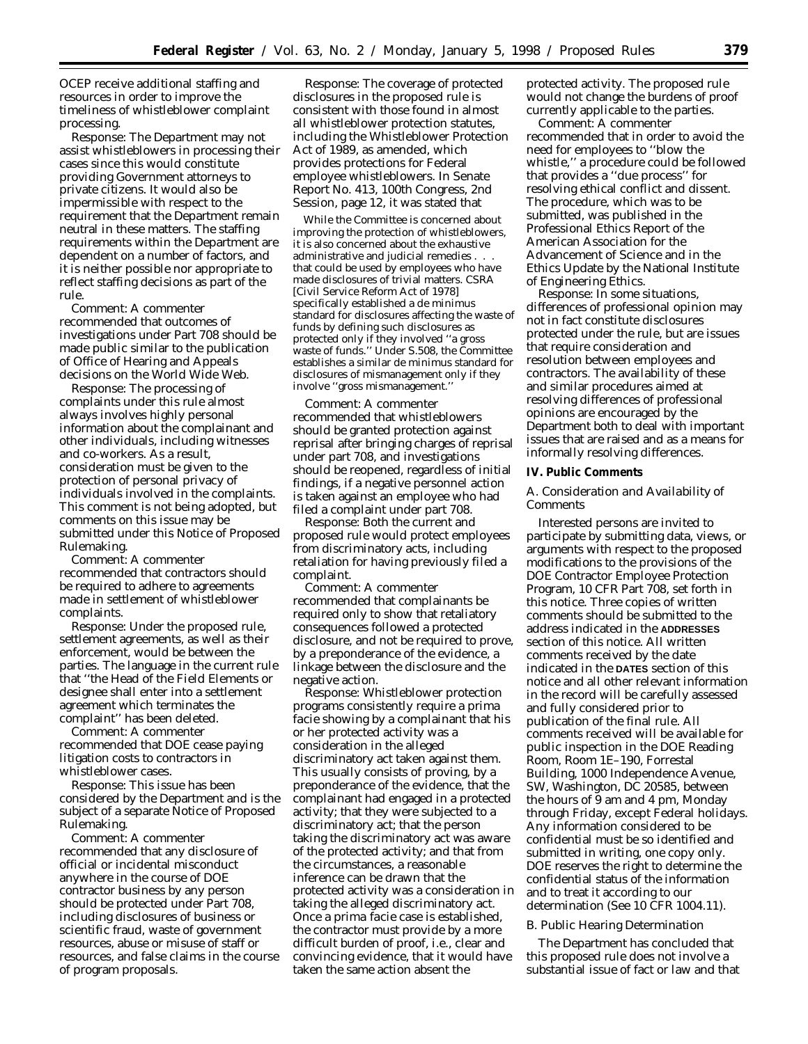OCEP receive additional staffing and resources in order to improve the timeliness of whistleblower complaint processing.

*Response:* The Department may not assist whistleblowers in processing their cases since this would constitute providing Government attorneys to private citizens. It would also be impermissible with respect to the requirement that the Department remain neutral in these matters. The staffing requirements within the Department are dependent on a number of factors, and it is neither possible nor appropriate to reflect staffing decisions as part of the rule.

*Comment:* A commenter recommended that outcomes of investigations under Part 708 should be made public similar to the publication of Office of Hearing and Appeals decisions on the World Wide Web.

*Response:* The processing of complaints under this rule almost always involves highly personal information about the complainant and other individuals, including witnesses and co-workers. As a result, consideration must be given to the protection of personal privacy of individuals involved in the complaints. This comment is not being adopted, but comments on this issue may be submitted under this Notice of Proposed Rulemaking.

*Comment:* A commenter recommended that contractors should be required to adhere to agreements made in settlement of whistleblower complaints.

*Response:* Under the proposed rule, settlement agreements, as well as their enforcement, would be between the parties. The language in the current rule that ''the Head of the Field Elements or designee shall enter into a settlement agreement which terminates the complaint'' has been deleted.

*Comment:* A commenter recommended that DOE cease paying litigation costs to contractors in whistleblower cases.

*Response:* This issue has been considered by the Department and is the subject of a separate Notice of Proposed Rulemaking.

*Comment:* A commenter recommended that any disclosure of official or incidental misconduct anywhere in the course of DOE contractor business by any person should be protected under Part 708, including disclosures of business or scientific fraud, waste of government resources, abuse or misuse of staff or resources, and false claims in the course of program proposals.

*Response:* The coverage of protected disclosures in the proposed rule is consistent with those found in almost all whistleblower protection statutes, including the Whistleblower Protection Act of 1989, as amended, which provides protections for Federal employee whistleblowers. In Senate Report No. 413, 100th Congress, 2nd Session, page 12, it was stated that

While the Committee is concerned about improving the protection of whistleblowers, it is also concerned about the exhaustive administrative and judicial remedies . . . that could be used by employees who have made disclosures of trivial matters. CSRA [Civil Service Reform Act of 1978] specifically established a de minimus standard for disclosures affecting the waste of funds by defining such disclosures as protected only if they involved ''a gross waste of funds.'' Under S.508, the Committee establishes a similar de minimus standard for disclosures of mismanagement only if they involve ''gross mismanagement.''

*Comment:* A commenter recommended that whistleblowers should be granted protection against reprisal after bringing charges of reprisal under part 708, and investigations should be reopened, regardless of initial findings, if a negative personnel action is taken against an employee who had filed a complaint under part 708.

*Response:* Both the current and proposed rule would protect employees from discriminatory acts, including retaliation for having previously filed a complaint.

*Comment:* A commenter recommended that complainants be required only to show that retaliatory consequences followed a protected disclosure, and not be required to prove, by a preponderance of the evidence, a linkage between the disclosure and the negative action.

*Response:* Whistleblower protection programs consistently require a *prima facie* showing by a complainant that his or her protected activity was a consideration in the alleged discriminatory act taken against them. This usually consists of proving, by a preponderance of the evidence, that the complainant had engaged in a protected activity; that they were subjected to a discriminatory act; that the person taking the discriminatory act was aware of the protected activity; and that from the circumstances, a reasonable inference can be drawn that the protected activity was a consideration in taking the alleged discriminatory act. Once a *prima facie* case is established, the contractor must provide by a more difficult burden of proof, i.e., clear and convincing evidence, that it would have taken the same action absent the

protected activity. The proposed rule would not change the burdens of proof currently applicable to the parties.

*Comment:* A commenter recommended that in order to avoid the need for employees to ''blow the whistle,'' a procedure could be followed that provides a ''due process'' for resolving ethical conflict and dissent. The procedure, which was to be submitted, was published in the Professional Ethics Report of the American Association for the Advancement of Science and in the Ethics Update by the National Institute of Engineering Ethics.

*Response:* In some situations, differences of professional opinion may not in fact constitute disclosures protected under the rule, but are issues that require consideration and resolution between employees and contractors. The availability of these and similar procedures aimed at resolving differences of professional opinions are encouraged by the Department both to deal with important issues that are raised and as a means for informally resolving differences.

### **IV. Public Comments**

# *A. Consideration and Availability of Comments*

Interested persons are invited to participate by submitting data, views, or arguments with respect to the proposed modifications to the provisions of the DOE Contractor Employee Protection Program, 10 CFR Part 708, set forth in this notice. Three copies of written comments should be submitted to the address indicated in the **ADDRESSES** section of this notice. All written comments received by the date indicated in the **DATES** section of this notice and all other relevant information in the record will be carefully assessed and fully considered prior to publication of the final rule. All comments received will be available for public inspection in the DOE Reading Room, Room 1E–190, Forrestal Building, 1000 Independence Avenue, SW, Washington, DC 20585, between the hours of 9 am and 4 pm, Monday through Friday, except Federal holidays. Any information considered to be confidential must be so identified and submitted in writing, one copy only. DOE reserves the right to determine the confidential status of the information and to treat it according to our determination (See 10 CFR 1004.11).

### *B. Public Hearing Determination*

The Department has concluded that this proposed rule does not involve a substantial issue of fact or law and that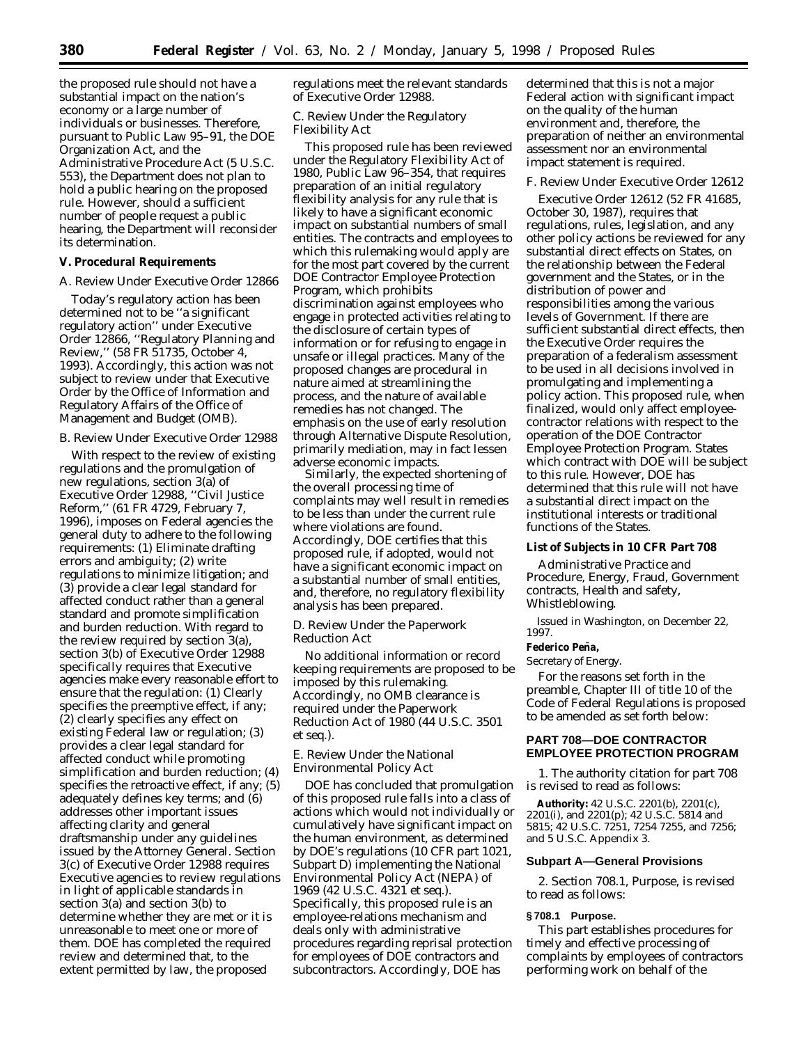the proposed rule should not have a substantial impact on the nation's economy or a large number of individuals or businesses. Therefore, pursuant to Public Law 95–91, the DOE Organization Act, and the Administrative Procedure Act (5 U.S.C. 553), the Department does not plan to hold a public hearing on the proposed rule. However, should a sufficient number of people request a public hearing, the Department will reconsider its determination.

# **V. Procedural Requirements**

### *A. Review Under Executive Order 12866*

Today's regulatory action has been determined not to be ''a significant regulatory action'' under Executive Order 12866, ''Regulatory Planning and Review,'' (58 FR 51735, October 4, 1993). Accordingly, this action was not subject to review under that Executive Order by the Office of Information and Regulatory Affairs of the Office of Management and Budget (OMB).

### *B. Review Under Executive Order 12988*

With respect to the review of existing regulations and the promulgation of new regulations, section 3(a) of Executive Order 12988, ''Civil Justice Reform,'' (61 FR 4729, February 7, 1996), imposes on Federal agencies the general duty to adhere to the following requirements: (1) Eliminate drafting errors and ambiguity; (2) write regulations to minimize litigation; and (3) provide a clear legal standard for affected conduct rather than a general standard and promote simplification and burden reduction. With regard to the review required by section 3(a), section 3(b) of Executive Order 12988 specifically requires that Executive agencies make every reasonable effort to ensure that the regulation: (1) Clearly specifies the preemptive effect, if any; (2) clearly specifies any effect on existing Federal law or regulation; (3) provides a clear legal standard for affected conduct while promoting simplification and burden reduction; (4) specifies the retroactive effect, if any; (5) adequately defines key terms; and (6) addresses other important issues affecting clarity and general draftsmanship under any guidelines issued by the Attorney General. Section 3(c) of Executive Order 12988 requires Executive agencies to review regulations in light of applicable standards in section 3(a) and section 3(b) to determine whether they are met or it is unreasonable to meet one or more of them. DOE has completed the required review and determined that, to the extent permitted by law, the proposed

regulations meet the relevant standards of Executive Order 12988.

## *C. Review Under the Regulatory Flexibility Act*

This proposed rule has been reviewed under the Regulatory Flexibility Act of 1980, Public Law 96–354, that requires preparation of an initial regulatory flexibility analysis for any rule that is likely to have a significant economic impact on substantial numbers of small entities. The contracts and employees to which this rulemaking would apply are for the most part covered by the current DOE Contractor Employee Protection Program, which prohibits discrimination against employees who engage in protected activities relating to the disclosure of certain types of information or for refusing to engage in unsafe or illegal practices. Many of the proposed changes are procedural in nature aimed at streamlining the process, and the nature of available remedies has not changed. The emphasis on the use of early resolution through Alternative Dispute Resolution, primarily mediation, may in fact lessen adverse economic impacts.

Similarly, the expected shortening of the overall processing time of complaints may well result in remedies to be less than under the current rule where violations are found. Accordingly, DOE certifies that this proposed rule, if adopted, would not have a significant economic impact on a substantial number of small entities, and, therefore, no regulatory flexibility analysis has been prepared.

## *D. Review Under the Paperwork Reduction Act*

No additional information or record keeping requirements are proposed to be imposed by this rulemaking. Accordingly, no OMB clearance is required under the Paperwork Reduction Act of 1980 (44 U.S.C. 3501 *et seq.*).

## *E. Review Under the National Environmental Policy Act*

DOE has concluded that promulgation of this proposed rule falls into a class of actions which would not individually or cumulatively have significant impact on the human environment, as determined by DOE's regulations (10 CFR part 1021, Subpart D) implementing the National Environmental Policy Act (NEPA) of 1969 (42 U.S.C. 4321 *et seq.*). Specifically, this proposed rule is an employee-relations mechanism and deals only with administrative procedures regarding reprisal protection for employees of DOE contractors and subcontractors. Accordingly, DOE has

determined that this is not a major Federal action with significant impact on the quality of the human environment and, therefore, the preparation of neither an environmental assessment nor an environmental impact statement is required.

## *F. Review Under Executive Order 12612*

Executive Order 12612 (52 FR 41685, October 30, 1987), requires that regulations, rules, legislation, and any other policy actions be reviewed for any substantial direct effects on States, on the relationship between the Federal government and the States, or in the distribution of power and responsibilities among the various levels of Government. If there are sufficient substantial direct effects, then the Executive Order requires the preparation of a federalism assessment to be used in all decisions involved in promulgating and implementing a policy action. This proposed rule, when finalized, would only affect employeecontractor relations with respect to the operation of the DOE Contractor Employee Protection Program. States which contract with DOE will be subject to this rule. However, DOE has determined that this rule will not have a substantial direct impact on the institutional interests or traditional functions of the States.

## **List of Subjects in 10 CFR Part 708**

Administrative Practice and Procedure, Energy, Fraud, Government contracts, Health and safety, Whistleblowing.

Issued in Washington, on December 22, 1997.

## **Federico Pen˜ a,**

## *Secretary of Energy.*

For the reasons set forth in the preamble, Chapter III of title 10 of the Code of Federal Regulations is proposed to be amended as set forth below:

# **PART 708—DOE CONTRACTOR EMPLOYEE PROTECTION PROGRAM**

1. The authority citation for part 708 is revised to read as follows:

**Authority:** 42 U.S.C. 2201(b), 2201(c), 2201(i), and 2201(p); 42 U.S.C. 5814 and 5815; 42 U.S.C. 7251, 7254 7255, and 7256; and 5 U.S.C. Appendix 3.

## **Subpart A—General Provisions**

2. Section 708.1, Purpose, is revised to read as follows:

# **§ 708.1 Purpose.**

This part establishes procedures for timely and effective processing of complaints by employees of contractors performing work on behalf of the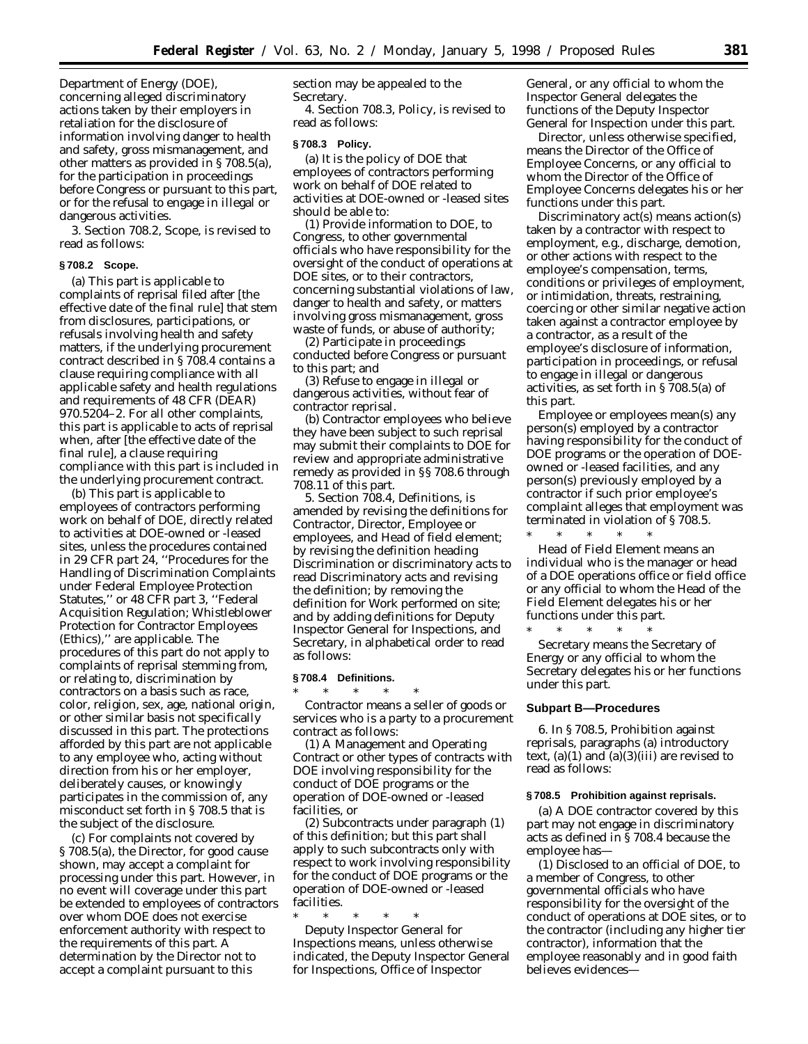Department of Energy (DOE), concerning alleged discriminatory actions taken by their employers in retaliation for the disclosure of information involving danger to health and safety, gross mismanagement, and other matters as provided in § 708.5(a), for the participation in proceedings before Congress or pursuant to this part, or for the refusal to engage in illegal or dangerous activities.

3. Section 708.2, Scope, is revised to read as follows:

### **§ 708.2 Scope.**

(a) This part is applicable to complaints of reprisal filed after [the effective date of the final rule] that stem from disclosures, participations, or refusals involving health and safety matters, if the underlying procurement contract described in § 708.4 contains a clause requiring compliance with all applicable safety and health regulations and requirements of 48 CFR (DEAR) 970.5204–2. For all other complaints, this part is applicable to acts of reprisal when, after [the effective date of the final rule], a clause requiring compliance with this part is included in the underlying procurement contract.

(b) This part is applicable to employees of contractors performing work on behalf of DOE, directly related to activities at DOE-owned or -leased sites, unless the procedures contained in 29 CFR part 24, ''Procedures for the Handling of Discrimination Complaints under Federal Employee Protection Statutes,'' or 48 CFR part 3, ''Federal Acquisition Regulation; Whistleblower Protection for Contractor Employees (Ethics),'' are applicable. The procedures of this part do not apply to complaints of reprisal stemming from, or relating to, discrimination by contractors on a basis such as race, color, religion, sex, age, national origin, or other similar basis not specifically discussed in this part. The protections afforded by this part are not applicable to any employee who, acting without direction from his or her employer, deliberately causes, or knowingly participates in the commission of, any misconduct set forth in § 708.5 that is the subject of the disclosure.

(c) For complaints not covered by § 708.5(a), the Director, for good cause shown, may accept a complaint for processing under this part. However, in no event will coverage under this part be extended to employees of contractors over whom DOE does not exercise enforcement authority with respect to the requirements of this part. A determination by the Director not to accept a complaint pursuant to this

section may be appealed to the Secretary.

4. Section 708.3, Policy, is revised to read as follows:

#### **§ 708.3 Policy.**

(a) It is the policy of DOE that employees of contractors performing work on behalf of DOE related to activities at DOE-owned or -leased sites should be able to:

(1) Provide information to DOE, to Congress, to other governmental officials who have responsibility for the oversight of the conduct of operations at DOE sites, or to their contractors, concerning substantial violations of law, danger to health and safety, or matters involving gross mismanagement, gross waste of funds, or abuse of authority;

(2) Participate in proceedings conducted before Congress or pursuant to this part; and

(3) Refuse to engage in illegal or dangerous activities, without fear of contractor reprisal.

(b) Contractor employees who believe they have been subject to such reprisal may submit their complaints to DOE for review and appropriate administrative remedy as provided in §§ 708.6 through 708.11 of this part.

5. Section 708.4, Definitions, is amended by revising the definitions for *Contractor, Director, Employee or employees, and Head of field element;* by revising the definition heading *Discrimination or discriminatory acts* to read *Discriminatory acts* and revising the definition; by removing the definition for *Work performed on site;* and by adding definitions for *Deputy Inspector General for Inspections,* and *Secretary,* in alphabetical order to read as follows:

#### **§ 708.4 Definitions.**

\* \* \* \* \* *Contractor* means a seller of goods or services who is a party to a procurement contract as follows:

(1) A Management and Operating Contract or other types of contracts with DOE involving responsibility for the conduct of DOE programs or the operation of DOE-owned or -leased facilities, or

(2) Subcontracts under paragraph (1) of this definition; but this part shall apply to such subcontracts only with respect to work involving responsibility for the conduct of DOE programs or the operation of DOE-owned or -leased facilities.

\* \* \* \* \* *Deputy Inspector General for Inspections* means, unless otherwise indicated, the Deputy Inspector General for Inspections, Office of Inspector

General, or any official to whom the Inspector General delegates the functions of the Deputy Inspector General for Inspection under this part.

*Director,* unless otherwise specified, means the Director of the Office of Employee Concerns, or any official to whom the Director of the Office of Employee Concerns delegates his or her functions under this part.

*Discriminatory act(s)* means action(s) taken by a contractor with respect to employment, e.g., discharge, demotion, or other actions with respect to the employee's compensation, terms, conditions or privileges of employment, or intimidation, threats, restraining, coercing or other similar negative action taken against a contractor employee by a contractor, as a result of the employee's disclosure of information, participation in proceedings, or refusal to engage in illegal or dangerous activities, as set forth in § 708.5(a) of this part.

*Employee* or *employees* mean(s) any person(s) employed by a contractor having responsibility for the conduct of DOE programs or the operation of DOEowned or -leased facilities, and any person(s) previously employed by a contractor if such prior employee's complaint alleges that employment was terminated in violation of § 708.5. \* \* \* \* \*

*Head of Field Element* means an individual who is the manager or head of a DOE operations office or field office or any official to whom the Head of the Field Element delegates his or her functions under this part. \* \* \* \* \*

*Secretary* means the Secretary of Energy or any official to whom the Secretary delegates his or her functions under this part.

#### **Subpart B—Procedures**

6. In § 708.5, Prohibition against reprisals, paragraphs (a) introductory text,  $(a)(1)$  and  $(a)(3)(iii)$  are revised to read as follows:

### **§ 708.5 Prohibition against reprisals.**

(a) A DOE contractor covered by this part may not engage in discriminatory acts as defined in § 708.4 because the employee has—

(1) Disclosed to an official of DOE, to a member of Congress, to other governmental officials who have responsibility for the oversight of the conduct of operations at DOE sites, or to the contractor (including any higher tier contractor), information that the employee reasonably and in good faith believes evidences—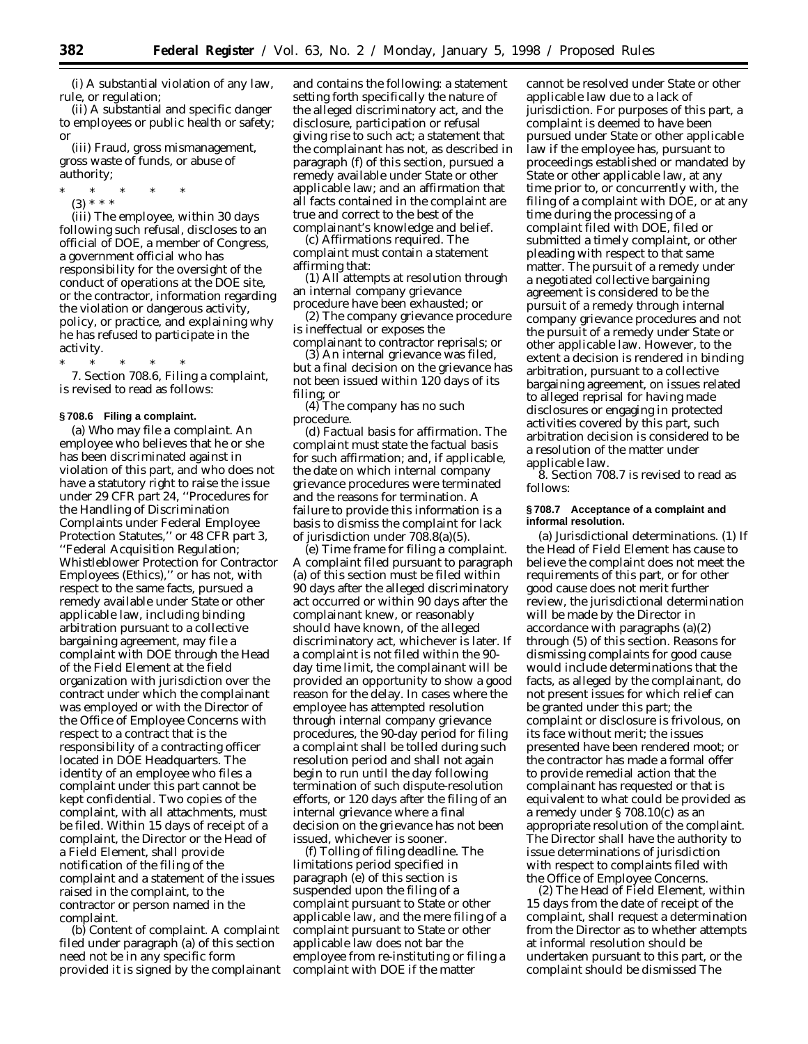(i) A substantial violation of any law, rule, or regulation;

(ii) A substantial and specific danger to employees or public health or safety; or

(iii) Fraud, gross mismanagement, gross waste of funds, or abuse of authority;

- \* \* \* \* \*
- (3) \* \* \*

(iii) The employee, within 30 days following such refusal, discloses to an official of DOE, a member of Congress, a government official who has responsibility for the oversight of the conduct of operations at the DOE site, or the contractor, information regarding the violation or dangerous activity, policy, or practice, and explaining why he has refused to participate in the activity.

\* \* \* \* \*

7. Section 708.6, Filing a complaint, is revised to read as follows:

#### **§ 708.6 Filing a complaint.**

(a) *Who may file a complaint.* An employee who believes that he or she has been discriminated against in violation of this part, and who does not have a statutory right to raise the issue under 29 CFR part 24, ''Procedures for the Handling of Discrimination Complaints under Federal Employee Protection Statutes,'' or 48 CFR part 3, ''Federal Acquisition Regulation; Whistleblower Protection for Contractor Employees (Ethics),'' or has not, with respect to the same facts, pursued a remedy available under State or other applicable law, including binding arbitration pursuant to a collective bargaining agreement, may file a complaint with DOE through the Head of the Field Element at the field organization with jurisdiction over the contract under which the complainant was employed or with the Director of the Office of Employee Concerns with respect to a contract that is the responsibility of a contracting officer located in DOE Headquarters. The identity of an employee who files a complaint under this part cannot be kept confidential. Two copies of the complaint, with all attachments, must be filed. Within 15 days of receipt of a complaint, the Director or the Head of a Field Element, shall provide notification of the filing of the complaint and a statement of the issues raised in the complaint, to the contractor or person named in the complaint.

(b) *Content of complaint.* A complaint filed under paragraph (a) of this section need not be in any specific form provided it is signed by the complainant and contains the following: a statement setting forth specifically the nature of the alleged discriminatory act, and the disclosure, participation or refusal giving rise to such act; a statement that the complainant has not, as described in paragraph (f) of this section, pursued a remedy available under State or other applicable law; and an affirmation that all facts contained in the complaint are true and correct to the best of the complainant's knowledge and belief.

(c) *Affirmations required.* The complaint must contain a statement affirming that:

(1) All attempts at resolution through an internal company grievance procedure have been exhausted; or

(2) The company grievance procedure is ineffectual or exposes the complainant to contractor reprisals; or

(3) An internal grievance was filed, but a final decision on the grievance has not been issued within 120 days of its filing; or

(4) The company has no such procedure.

(d) *Factual basis for affirmation.* The complaint must state the factual basis for such affirmation; and, if applicable, the date on which internal company grievance procedures were terminated and the reasons for termination. A failure to provide this information is a basis to dismiss the complaint for lack of jurisdiction under 708.8(a)(5).

(e) *Time frame for filing a complaint.* A complaint filed pursuant to paragraph (a) of this section must be filed within 90 days after the alleged discriminatory act occurred or within 90 days after the complainant knew, or reasonably should have known, of the alleged discriminatory act, whichever is later. If a complaint is not filed within the 90 day time limit, the complainant will be provided an opportunity to show a good reason for the delay. In cases where the employee has attempted resolution through internal company grievance procedures, the 90-day period for filing a complaint shall be tolled during such resolution period and shall not again begin to run until the day following termination of such dispute-resolution efforts, or 120 days after the filing of an internal grievance where a final decision on the grievance has not been issued, whichever is sooner.

(f) *Tolling of filing deadline.* The limitations period specified in paragraph (e) of this section is suspended upon the filing of a complaint pursuant to State or other applicable law, and the mere filing of a complaint pursuant to State or other applicable law does not bar the employee from re-instituting or filing a complaint with DOE if the matter

cannot be resolved under State or other applicable law due to a lack of jurisdiction. For purposes of this part, a complaint is deemed to have been pursued under State or other applicable law if the employee has, pursuant to proceedings established or mandated by State or other applicable law, at any time prior to, or concurrently with, the filing of a complaint with DOE, or at any time during the processing of a complaint filed with DOE, filed or submitted a timely complaint, or other pleading with respect to that same matter. The pursuit of a remedy under a negotiated collective bargaining agreement is considered to be the pursuit of a remedy through internal company grievance procedures and not the pursuit of a remedy under State or other applicable law. However, to the extent a decision is rendered in binding arbitration, pursuant to a collective bargaining agreement, on issues related to alleged reprisal for having made disclosures or engaging in protected activities covered by this part, such arbitration decision is considered to be a resolution of the matter under applicable law.

8. Section 708.7 is revised to read as follows:

### **§ 708.7 Acceptance of a complaint and informal resolution.**

(a) *Jurisdictional determinations.* (1) If the Head of Field Element has cause to believe the complaint does not meet the requirements of this part, or for other good cause does not merit further review, the jurisdictional determination will be made by the Director in accordance with paragraphs (a)(2) through (5) of this section. Reasons for dismissing complaints for good cause would include determinations that the facts, as alleged by the complainant, do not present issues for which relief can be granted under this part; the complaint or disclosure is frivolous, on its face without merit; the issues presented have been rendered moot; or the contractor has made a formal offer to provide remedial action that the complainant has requested or that is equivalent to what could be provided as a remedy under § 708.10(c) as an appropriate resolution of the complaint. The Director shall have the authority to issue determinations of jurisdiction with respect to complaints filed with the Office of Employee Concerns.

(2) The Head of Field Element, within 15 days from the date of receipt of the complaint, shall request a determination from the Director as to whether attempts at informal resolution should be undertaken pursuant to this part, or the complaint should be dismissed The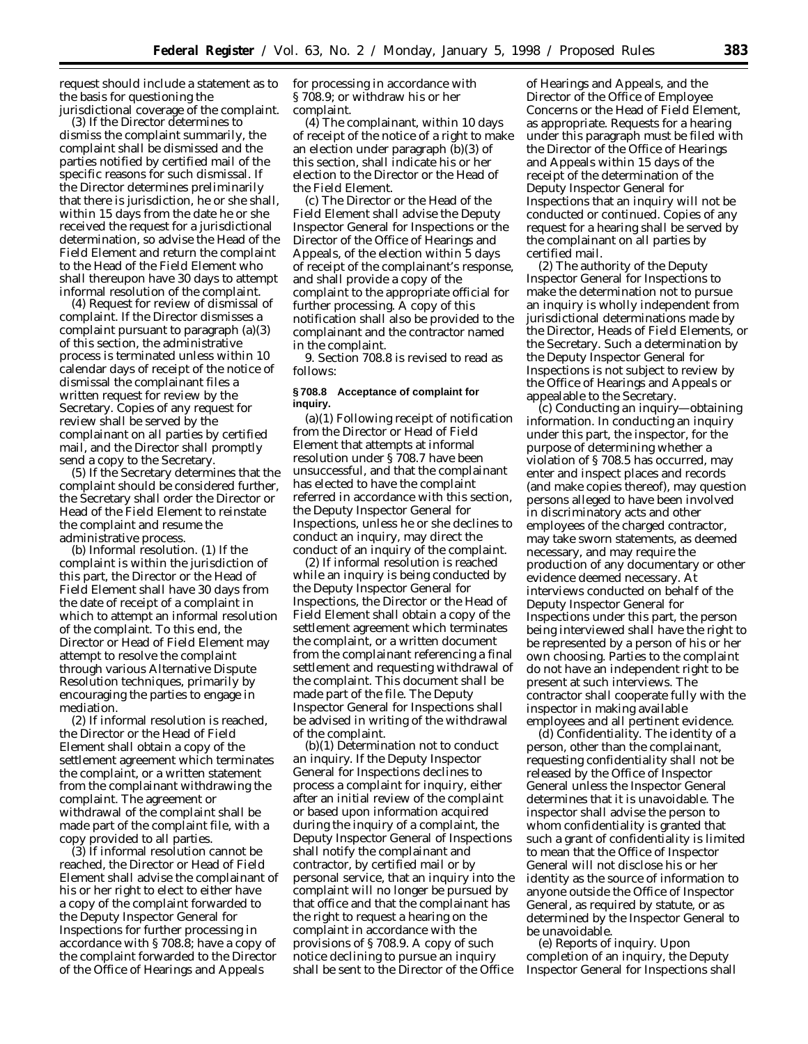request should include a statement as to the basis for questioning the jurisdictional coverage of the complaint.

(3) If the Director determines to dismiss the complaint summarily, the complaint shall be dismissed and the parties notified by certified mail of the specific reasons for such dismissal. If the Director determines preliminarily that there is jurisdiction, he or she shall, within 15 days from the date he or she received the request for a jurisdictional determination, so advise the Head of the Field Element and return the complaint to the Head of the Field Element who shall thereupon have 30 days to attempt informal resolution of the complaint.

(4) Request for review of dismissal of complaint. If the Director dismisses a complaint pursuant to paragraph (a)(3) of this section, the administrative process is terminated unless within 10 calendar days of receipt of the notice of dismissal the complainant files a written request for review by the Secretary. Copies of any request for review shall be served by the complainant on all parties by certified mail, and the Director shall promptly send a copy to the Secretary.

(5) If the Secretary determines that the complaint should be considered further, the Secretary shall order the Director or Head of the Field Element to reinstate the complaint and resume the administrative process.

(b) *Informal resolution.* (1) If the complaint is within the jurisdiction of this part, the Director or the Head of Field Element shall have 30 days from the date of receipt of a complaint in which to attempt an informal resolution of the complaint. To this end, the Director or Head of Field Element may attempt to resolve the complaint through various Alternative Dispute Resolution techniques, primarily by encouraging the parties to engage in mediation.

(2) If informal resolution is reached, the Director or the Head of Field Element shall obtain a copy of the settlement agreement which terminates the complaint, or a written statement from the complainant withdrawing the complaint. The agreement or withdrawal of the complaint shall be made part of the complaint file, with a copy provided to all parties.

(3) If informal resolution cannot be reached, the Director or Head of Field Element shall advise the complainant of his or her right to elect to either have a copy of the complaint forwarded to the Deputy Inspector General for Inspections for further processing in accordance with § 708.8; have a copy of the complaint forwarded to the Director of the Office of Hearings and Appeals

for processing in accordance with § 708.9; or withdraw his or her complaint.

(4) The complainant, within 10 days of receipt of the notice of a right to make an election under paragraph (b)(3) of this section, shall indicate his or her election to the Director or the Head of the Field Element.

(c) The Director or the Head of the Field Element shall advise the Deputy Inspector General for Inspections or the Director of the Office of Hearings and Appeals, of the election within 5 days of receipt of the complainant's response, and shall provide a copy of the complaint to the appropriate official for further processing. A copy of this notification shall also be provided to the complainant and the contractor named in the complaint.

9. Section 708.8 is revised to read as follows:

### **§ 708.8 Acceptance of complaint for inquiry.**

(a)(1) Following receipt of notification from the Director or Head of Field Element that attempts at informal resolution under § 708.7 have been unsuccessful, and that the complainant has elected to have the complaint referred in accordance with this section, the Deputy Inspector General for Inspections, unless he or she declines to conduct an inquiry, may direct the conduct of an inquiry of the complaint.

(2) If informal resolution is reached while an inquiry is being conducted by the Deputy Inspector General for Inspections, the Director or the Head of Field Element shall obtain a copy of the settlement agreement which terminates the complaint, or a written document from the complainant referencing a final settlement and requesting withdrawal of the complaint. This document shall be made part of the file. The Deputy Inspector General for Inspections shall be advised in writing of the withdrawal of the complaint.

(b)(1) *Determination not to conduct an inquiry.* If the Deputy Inspector General for Inspections declines to process a complaint for inquiry, either after an initial review of the complaint or based upon information acquired during the inquiry of a complaint, the Deputy Inspector General of Inspections shall notify the complainant and contractor, by certified mail or by personal service, that an inquiry into the complaint will no longer be pursued by that office and that the complainant has the right to request a hearing on the complaint in accordance with the provisions of § 708.9. A copy of such notice declining to pursue an inquiry shall be sent to the Director of the Office

of Hearings and Appeals, and the Director of the Office of Employee Concerns or the Head of Field Element, as appropriate. Requests for a hearing under this paragraph must be filed with the Director of the Office of Hearings and Appeals within 15 days of the receipt of the determination of the Deputy Inspector General for Inspections that an inquiry will not be conducted or continued. Copies of any request for a hearing shall be served by the complainant on all parties by certified mail.

(2) The authority of the Deputy Inspector General for Inspections to make the determination not to pursue an inquiry is wholly independent from jurisdictional determinations made by the Director, Heads of Field Elements, or the Secretary. Such a determination by the Deputy Inspector General for Inspections is not subject to review by the Office of Hearings and Appeals or appealable to the Secretary.

(c) *Conducting an inquiry—obtaining information.* In conducting an inquiry under this part, the inspector, for the purpose of determining whether a violation of § 708.5 has occurred, may enter and inspect places and records (and make copies thereof), may question persons alleged to have been involved in discriminatory acts and other employees of the charged contractor, may take sworn statements, as deemed necessary, and may require the production of any documentary or other evidence deemed necessary. At interviews conducted on behalf of the Deputy Inspector General for Inspections under this part, the person being interviewed shall have the right to be represented by a person of his or her own choosing. Parties to the complaint do not have an independent right to be present at such interviews. The contractor shall cooperate fully with the inspector in making available employees and all pertinent evidence.

(d) *Confidentiality.* The identity of a person, other than the complainant, requesting confidentiality shall not be released by the Office of Inspector General unless the Inspector General determines that it is unavoidable. The inspector shall advise the person to whom confidentiality is granted that such a grant of confidentiality is limited to mean that the Office of Inspector General will not disclose his or her identity as the source of information to anyone outside the Office of Inspector General, as required by statute, or as determined by the Inspector General to be unavoidable.

(e) *Reports of inquiry.* Upon completion of an inquiry, the Deputy Inspector General for Inspections shall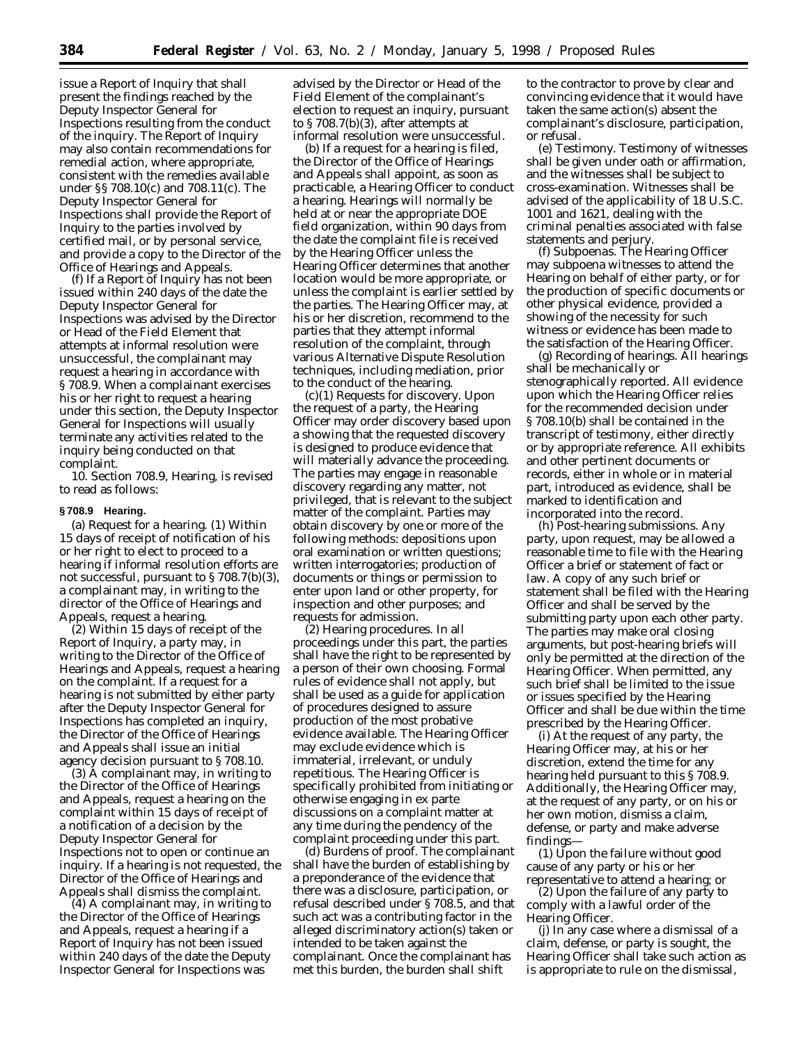issue a Report of Inquiry that shall present the findings reached by the Deputy Inspector General for Inspections resulting from the conduct of the inquiry. The Report of Inquiry may also contain recommendations for remedial action, where appropriate, consistent with the remedies available under §§ 708.10(c) and 708.11(c). The Deputy Inspector General for Inspections shall provide the Report of Inquiry to the parties involved by certified mail, or by personal service, and provide a copy to the Director of the Office of Hearings and Appeals.

(f) If a Report of Inquiry has not been issued within 240 days of the date the Deputy Inspector General for Inspections was advised by the Director or Head of the Field Element that attempts at informal resolution were unsuccessful, the complainant may request a hearing in accordance with § 708.9. When a complainant exercises his or her right to request a hearing under this section, the Deputy Inspector General for Inspections will usually terminate any activities related to the inquiry being conducted on that complaint.

10. Section 708.9, Hearing, is revised to read as follows:

### **§ 708.9 Hearing.**

(a) *Request for a hearing.* (1) Within 15 days of receipt of notification of his or her right to elect to proceed to a hearing if informal resolution efforts are not successful, pursuant to § 708.7(b)(3), a complainant may, in writing to the director of the Office of Hearings and Appeals, request a hearing.

(2) Within 15 days of receipt of the Report of Inquiry, a party may, in writing to the Director of the Office of Hearings and Appeals, request a hearing on the complaint. If a request for a hearing is not submitted by either party after the Deputy Inspector General for Inspections has completed an inquiry, the Director of the Office of Hearings and Appeals shall issue an initial agency decision pursuant to § 708.10.

(3) A complainant may, in writing to the Director of the Office of Hearings and Appeals, request a hearing on the complaint within 15 days of receipt of a notification of a decision by the Deputy Inspector General for Inspections not to open or continue an inquiry. If a hearing is not requested, the Director of the Office of Hearings and Appeals shall dismiss the complaint.

(4) A complainant may, in writing to the Director of the Office of Hearings and Appeals, request a hearing if a Report of Inquiry has not been issued within 240 days of the date the Deputy Inspector General for Inspections was

advised by the Director or Head of the Field Element of the complainant's election to request an inquiry, pursuant to § 708.7(b)(3), after attempts at informal resolution were unsuccessful.

(b) If a request for a hearing is filed, the Director of the Office of Hearings and Appeals shall appoint, as soon as practicable, a Hearing Officer to conduct a hearing. Hearings will normally be held at or near the appropriate DOE field organization, within 90 days from the date the complaint file is received by the Hearing Officer unless the Hearing Officer determines that another location would be more appropriate, or unless the complaint is earlier settled by the parties. The Hearing Officer may, at his or her discretion, recommend to the parties that they attempt informal resolution of the complaint, through various Alternative Dispute Resolution techniques, including mediation, prior to the conduct of the hearing.

(c)(1) *Requests for discovery.* Upon the request of a party, the Hearing Officer may order discovery based upon a showing that the requested discovery is designed to produce evidence that will materially advance the proceeding. The parties may engage in reasonable discovery regarding any matter, not privileged, that is relevant to the subject matter of the complaint. Parties may obtain discovery by one or more of the following methods: depositions upon oral examination or written questions; written interrogatories; production of documents or things or permission to enter upon land or other property, for inspection and other purposes; and requests for admission.

(2) *Hearing procedures.* In all proceedings under this part, the parties shall have the right to be represented by a person of their own choosing. Formal rules of evidence shall not apply, but shall be used as a guide for application of procedures designed to assure production of the most probative evidence available. The Hearing Officer may exclude evidence which is immaterial, irrelevant, or unduly repetitious. The Hearing Officer is specifically prohibited from initiating or otherwise engaging in ex parte discussions on a complaint matter at any time during the pendency of the complaint proceeding under this part.

(d) *Burdens of proof.* The complainant shall have the burden of establishing by a preponderance of the evidence that there was a disclosure, participation, or refusal described under § 708.5, and that such act was a contributing factor in the alleged discriminatory action(s) taken or intended to be taken against the complainant. Once the complainant has met this burden, the burden shall shift

to the contractor to prove by clear and convincing evidence that it would have taken the same action(s) absent the complainant's disclosure, participation, or refusal.

(e) *Testimony.* Testimony of witnesses shall be given under oath or affirmation, and the witnesses shall be subject to cross-examination. Witnesses shall be advised of the applicability of 18 U.S.C. 1001 and 1621, dealing with the criminal penalties associated with false statements and perjury.

(f) *Subpoenas.* The Hearing Officer may subpoena witnesses to attend the Hearing on behalf of either party, or for the production of specific documents or other physical evidence, provided a showing of the necessity for such witness or evidence has been made to the satisfaction of the Hearing Officer.

(g) *Recording of hearings.* All hearings shall be mechanically or stenographically reported. All evidence upon which the Hearing Officer relies for the recommended decision under § 708.10(b) shall be contained in the transcript of testimony, either directly or by appropriate reference. All exhibits and other pertinent documents or records, either in whole or in material part, introduced as evidence, shall be marked to identification and incorporated into the record.

(h) *Post-hearing submissions.* Any party, upon request, may be allowed a reasonable time to file with the Hearing Officer a brief or statement of fact or law. A copy of any such brief or statement shall be filed with the Hearing Officer and shall be served by the submitting party upon each other party. The parties may make oral closing arguments, but post-hearing briefs will only be permitted at the direction of the Hearing Officer. When permitted, any such brief shall be limited to the issue or issues specified by the Hearing Officer and shall be due within the time prescribed by the Hearing Officer.

(i) At the request of any party, the Hearing Officer may, at his or her discretion, extend the time for any hearing held pursuant to this § 708.9. Additionally, the Hearing Officer may, at the request of any party, or on his or her own motion, dismiss a claim, defense, or party and make adverse findings—

(1) Upon the failure without good cause of any party or his or her representative to attend a hearing; or

(2) Upon the failure of any party to comply with a lawful order of the Hearing Officer.

(j) In any case where a dismissal of a claim, defense, or party is sought, the Hearing Officer shall take such action as is appropriate to rule on the dismissal,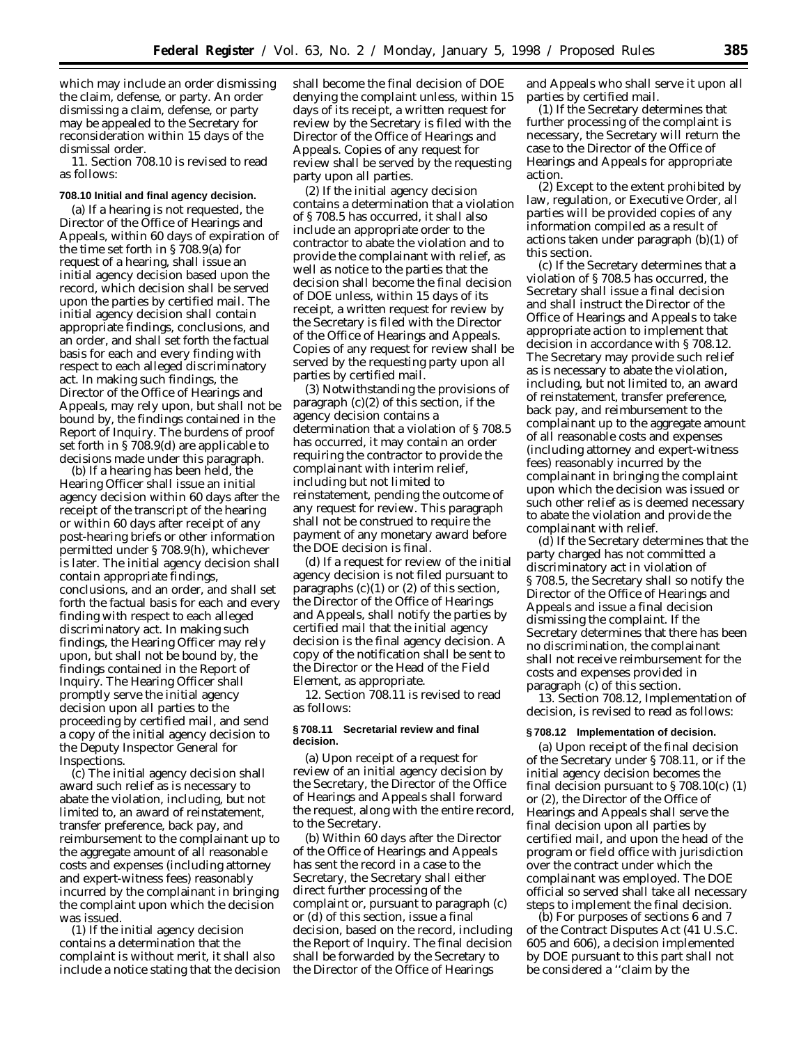which may include an order dismissing the claim, defense, or party. An order dismissing a claim, defense, or party may be appealed to the Secretary for reconsideration within 15 days of the dismissal order.

11. Section 708.10 is revised to read as follows:

### **708.10 Initial and final agency decision.**

(a) If a hearing is not requested, the Director of the Office of Hearings and Appeals, within 60 days of expiration of the time set forth in § 708.9(a) for request of a hearing, shall issue an initial agency decision based upon the record, which decision shall be served upon the parties by certified mail. The initial agency decision shall contain appropriate findings, conclusions, and an order, and shall set forth the factual basis for each and every finding with respect to each alleged discriminatory act. In making such findings, the Director of the Office of Hearings and Appeals, may rely upon, but shall not be bound by, the findings contained in the Report of Inquiry. The burdens of proof set forth in § 708.9(d) are applicable to decisions made under this paragraph.

(b) If a hearing has been held, the Hearing Officer shall issue an initial agency decision within 60 days after the receipt of the transcript of the hearing or within 60 days after receipt of any post-hearing briefs or other information permitted under § 708.9(h), whichever is later. The initial agency decision shall contain appropriate findings, conclusions, and an order, and shall set forth the factual basis for each and every finding with respect to each alleged discriminatory act. In making such findings, the Hearing Officer may rely upon, but shall not be bound by, the findings contained in the Report of Inquiry. The Hearing Officer shall promptly serve the initial agency decision upon all parties to the proceeding by certified mail, and send a copy of the initial agency decision to the Deputy Inspector General for Inspections.

(c) The initial agency decision shall award such relief as is necessary to abate the violation, including, but not limited to, an award of reinstatement, transfer preference, back pay, and reimbursement to the complainant up to the aggregate amount of all reasonable costs and expenses (including attorney and expert-witness fees) reasonably incurred by the complainant in bringing the complaint upon which the decision was issued.

(1) If the initial agency decision contains a determination that the complaint is without merit, it shall also include a notice stating that the decision shall become the final decision of DOE denying the complaint unless, within 15 days of its receipt, a written request for review by the Secretary is filed with the Director of the Office of Hearings and Appeals. Copies of any request for review shall be served by the requesting party upon all parties.

(2) If the initial agency decision contains a determination that a violation of § 708.5 has occurred, it shall also include an appropriate order to the contractor to abate the violation and to provide the complainant with relief, as well as notice to the parties that the decision shall become the final decision of DOE unless, within 15 days of its receipt, a written request for review by the Secretary is filed with the Director of the Office of Hearings and Appeals. Copies of any request for review shall be served by the requesting party upon all parties by certified mail.

(3) Notwithstanding the provisions of paragraph (c)(2) of this section, if the agency decision contains a determination that a violation of § 708.5 has occurred, it may contain an order requiring the contractor to provide the complainant with interim relief, including but not limited to reinstatement, pending the outcome of any request for review. This paragraph shall not be construed to require the payment of any monetary award before the DOE decision is final.

(d) If a request for review of the initial agency decision is not filed pursuant to paragraphs  $(c)(1)$  or  $(2)$  of this section, the Director of the Office of Hearings and Appeals, shall notify the parties by certified mail that the initial agency decision is the final agency decision. A copy of the notification shall be sent to the Director or the Head of the Field Element, as appropriate.

12. Section 708.11 is revised to read as follows:

## **§ 708.11 Secretarial review and final decision.**

(a) Upon receipt of a request for review of an initial agency decision by the Secretary, the Director of the Office of Hearings and Appeals shall forward the request, along with the entire record, to the Secretary.

(b) Within 60 days after the Director of the Office of Hearings and Appeals has sent the record in a case to the Secretary, the Secretary shall either direct further processing of the complaint or, pursuant to paragraph (c) or (d) of this section, issue a final decision, based on the record, including the Report of Inquiry. The final decision shall be forwarded by the Secretary to the Director of the Office of Hearings

and Appeals who shall serve it upon all parties by certified mail.

(1) If the Secretary determines that further processing of the complaint is necessary, the Secretary will return the case to the Director of the Office of Hearings and Appeals for appropriate action.

(2) Except to the extent prohibited by law, regulation, or Executive Order, all parties will be provided copies of any information compiled as a result of actions taken under paragraph (b)(1) of this section.

(c) If the Secretary determines that a violation of § 708.5 has occurred, the Secretary shall issue a final decision and shall instruct the Director of the Office of Hearings and Appeals to take appropriate action to implement that decision in accordance with § 708.12. The Secretary may provide such relief as is necessary to abate the violation, including, but not limited to, an award of reinstatement, transfer preference, back pay, and reimbursement to the complainant up to the aggregate amount of all reasonable costs and expenses (including attorney and expert-witness fees) reasonably incurred by the complainant in bringing the complaint upon which the decision was issued or such other relief as is deemed necessary to abate the violation and provide the complainant with relief.

(d) If the Secretary determines that the party charged has not committed a discriminatory act in violation of § 708.5, the Secretary shall so notify the Director of the Office of Hearings and Appeals and issue a final decision dismissing the complaint. If the Secretary determines that there has been no discrimination, the complainant shall not receive reimbursement for the costs and expenses provided in paragraph (c) of this section.

13. Section 708.12, Implementation of decision, is revised to read as follows:

#### **§ 708.12 Implementation of decision.**

(a) Upon receipt of the final decision of the Secretary under § 708.11, or if the initial agency decision becomes the final decision pursuant to § 708.10(c) (1) or (2), the Director of the Office of Hearings and Appeals shall serve the final decision upon all parties by certified mail, and upon the head of the program or field office with jurisdiction over the contract under which the complainant was employed. The DOE official so served shall take all necessary steps to implement the final decision.

(b) For purposes of sections 6 and 7 of the Contract Disputes Act (41 U.S.C. 605 and 606), a decision implemented by DOE pursuant to this part shall not be considered a ''claim by the